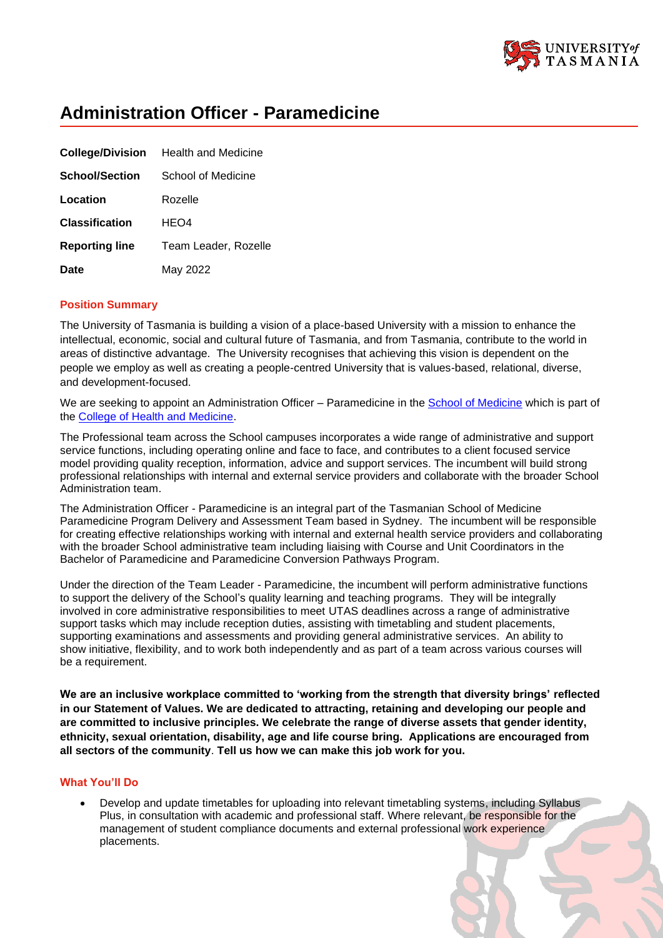

# **Administration Officer - Paramedicine**

|                       | <b>College/Division</b> Health and Medicine |
|-----------------------|---------------------------------------------|
| <b>School/Section</b> | School of Medicine                          |
| Location              | Rozelle                                     |
| <b>Classification</b> | HEO4                                        |
| <b>Reporting line</b> | Team Leader, Rozelle                        |
| <b>Date</b>           | May 2022                                    |

# **Position Summary**

The University of Tasmania is building a vision of a place-based University with a mission to enhance the intellectual, economic, social and cultural future of Tasmania, and from Tasmania, contribute to the world in areas of distinctive advantage. The University recognises that achieving this vision is dependent on the people we employ as well as creating a people-centred University that is values-based, relational, diverse, and development-focused.

We are seeking to appoint an Administration Officer – Paramedicine in the [School of Medicine](https://www.utas.edu.au/health/about-us/tasmanian-school-of-medicine) which is part of the [College of Health and Medicine.](https://www.utas.edu.au/health)

The Professional team across the School campuses incorporates a wide range of administrative and support service functions, including operating online and face to face, and contributes to a client focused service model providing quality reception, information, advice and support services. The incumbent will build strong professional relationships with internal and external service providers and collaborate with the broader School Administration team.

The Administration Officer - Paramedicine is an integral part of the Tasmanian School of Medicine Paramedicine Program Delivery and Assessment Team based in Sydney. The incumbent will be responsible for creating effective relationships working with internal and external health service providers and collaborating with the broader School administrative team including liaising with Course and Unit Coordinators in the Bachelor of Paramedicine and Paramedicine Conversion Pathways Program.

Under the direction of the Team Leader - Paramedicine, the incumbent will perform administrative functions to support the delivery of the School's quality learning and teaching programs. They will be integrally involved in core administrative responsibilities to meet UTAS deadlines across a range of administrative support tasks which may include reception duties, assisting with timetabling and student placements, supporting examinations and assessments and providing general administrative services. An ability to show initiative, flexibility, and to work both independently and as part of a team across various courses will be a requirement.

**We are an inclusive workplace committed to 'working from the strength that diversity brings' reflected in our Statement of Values. We are dedicated to attracting, retaining and developing our people and are committed to inclusive principles. We celebrate the range of diverse assets that gender identity, ethnicity, sexual orientation, disability, age and life course bring. Applications are encouraged from all sectors of the community**. **Tell us how we can make this job work for you.**

### **What You'll Do**

• Develop and update timetables for uploading into relevant timetabling systems, including Syllabus Plus, in consultation with academic and professional staff. Where relevant, be responsible for the management of student compliance documents and external professional work experience placements.